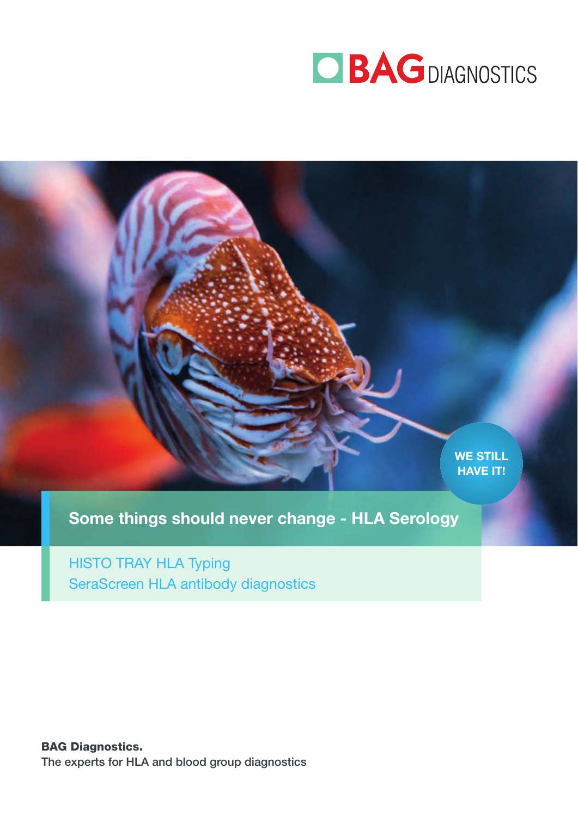



Some things should never change - HLA Serology

HISTO TRAY HLA Typing SeraScreen HLA antibody diagnostics

BAG Diagnostics. The experts for HLA and blood group diagnostics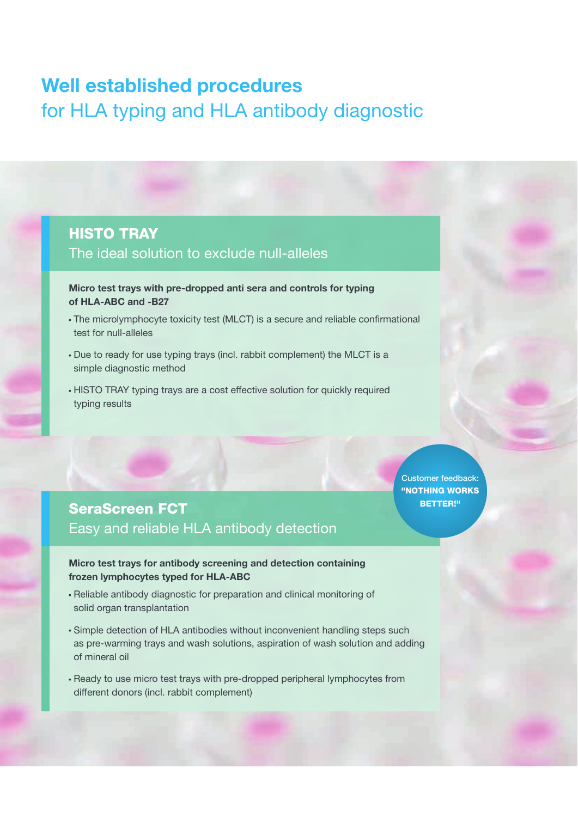# Well established procedures for HLA typing and HLA antibody diagnostic

#### HISTO TRAY

#### The ideal solution to exclude null-alleles

Micro test trays with pre-dropped anti sera and controls for typing of HLA-ABC and -B27

- The microlymphocyte toxicity test (MLCT) is a secure and reliable confirmational test for null-alleles
- Due to ready for use typing trays (incl. rabbit complement) the MLCT is a simple diagnostic method
- HISTO TRAY typing trays are a cost effective solution for quickly required typing results

Customer feedback: "NOTHING WORKS BETTER!"

### SeraScreen FCT Easy and reliable HLA antibody detection

Micro test trays for antibody screening and detection containing frozen lymphocytes typed for HLA-ABC

- Reliable antibody diagnostic for preparation and clinical monitoring of solid organ transplantation
- Simple detection of HLA antibodies without inconvenient handling steps such as pre-warming trays and wash solutions, aspiration of wash solution and adding of mineral oil
- Ready to use micro test trays with pre-dropped peripheral lymphocytes from different donors (incl. rabbit complement)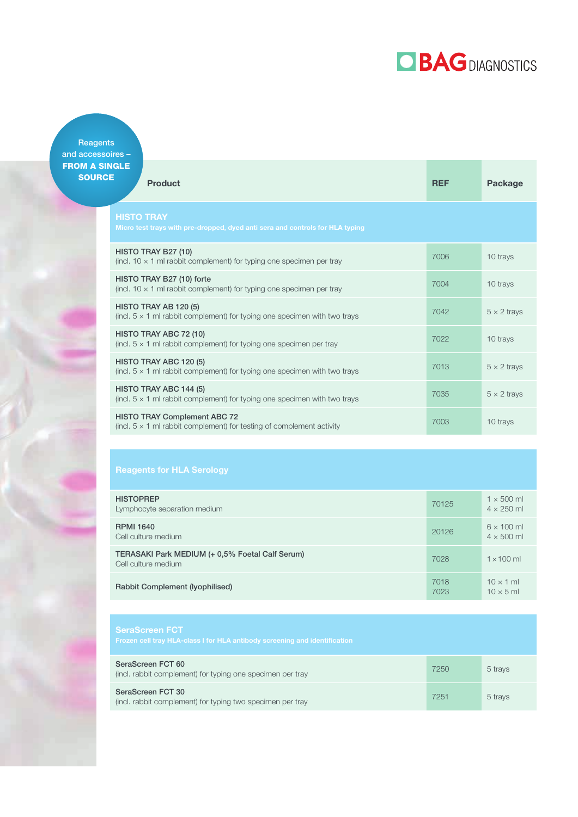# **OBAGDIAGNOSTICS**

**Reagents** and accessoires – **FROM A SIN** SOURC

| NGLE<br>Έ<br><b>Product</b>                                                                                         | <b>REF</b> | Package            |
|---------------------------------------------------------------------------------------------------------------------|------------|--------------------|
| <b>HISTO TRAY</b><br>Micro test trays with pre-dropped, dyed anti sera and controls for HLA typing                  |            |                    |
| HISTO TRAY B27 (10)<br>(incl. 10 $\times$ 1 ml rabbit complement) for typing one specimen per tray                  | 7006       | 10 trays           |
| HISTO TRAY B27 (10) forte<br>(incl. 10 $\times$ 1 ml rabbit complement) for typing one specimen per tray            | 7004       | 10 trays           |
| HISTO TRAY AB 120 (5)<br>(incl. $5 \times 1$ ml rabbit complement) for typing one specimen with two trays           | 7042       | $5 \times 2$ trays |
| HISTO TRAY ABC 72 (10)<br>(incl. $5 \times 1$ ml rabbit complement) for typing one specimen per tray                | 7022       | 10 trays           |
| HISTO TRAY ABC 120 (5)<br>(incl. $5 \times 1$ ml rabbit complement) for typing one specimen with two trays          | 7013       | $5 \times 2$ trays |
| HISTO TRAY ABC 144 (5)<br>(incl. $5 \times 1$ ml rabbit complement) for typing one specimen with two trays          | 7035       | $5 \times 2$ trays |
| <b>HISTO TRAY Complement ABC 72</b><br>(incl. $5 \times 1$ ml rabbit complement) for testing of complement activity | 7003       | 10 trays           |

| <b>HISTOPREP</b><br>Lymphocyte separation medium                       | 70125        | $1 \times 500$ ml<br>$4 \times 250$ ml |
|------------------------------------------------------------------------|--------------|----------------------------------------|
| <b>RPMI 1640</b><br>Cell culture medium                                | 20126        | $6 \times 100$ ml<br>$4 \times 500$ ml |
| TERASAKI Park MEDIUM (+ 0,5% Foetal Calf Serum)<br>Cell culture medium | 7028         | $1 \times 100$ ml                      |
| Rabbit Complement (Iyophilised)                                        | 7018<br>7023 | $10 \times 1$ ml<br>$10 \times 5$ ml   |

| <b>SeraScreen FCT</b><br>Frozen cell tray HLA-class I for HLA antibody screening and identification |      |         |
|-----------------------------------------------------------------------------------------------------|------|---------|
| SeraScreen FCT 60<br>(incl. rabbit complement) for typing one specimen per tray                     | 7250 | 5 trays |
| SeraScreen FCT 30<br>(incl. rabbit complement) for typing two specimen per tray                     | 7251 | 5 trays |